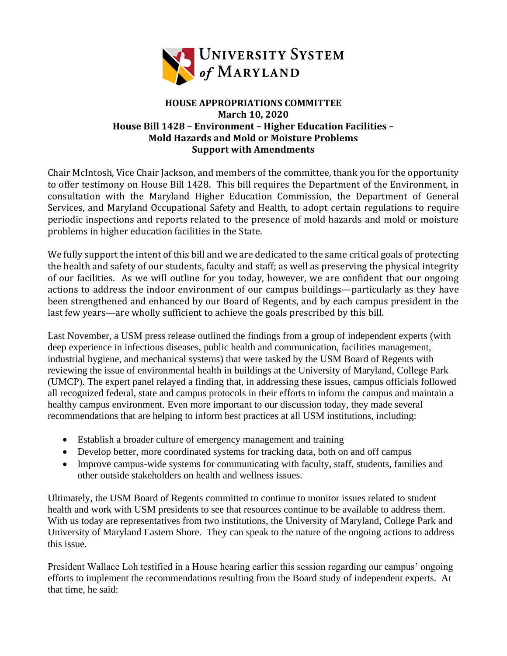

## **HOUSE APPROPRIATIONS COMMITTEE March 10, 2020 House Bill 1428 – Environment – Higher Education Facilities – Mold Hazards and Mold or Moisture Problems Support with Amendments**

Chair McIntosh, Vice Chair Jackson, and members of the committee, thank you for the opportunity to offer testimony on House Bill 1428. This bill requires the Department of the Environment, in consultation with the Maryland Higher Education Commission, the Department of General Services, and Maryland Occupational Safety and Health, to adopt certain regulations to require periodic inspections and reports related to the presence of mold hazards and mold or moisture problems in higher education facilities in the State.

We fully support the intent of this bill and we are dedicated to the same critical goals of protecting the health and safety of our students, faculty and staff; as well as preserving the physical integrity of our facilities. As we will outline for you today, however, we are confident that our ongoing actions to address the indoor environment of our campus buildings—particularly as they have been strengthened and enhanced by our Board of Regents, and by each campus president in the last few years—are wholly sufficient to achieve the goals prescribed by this bill.

Last November, a USM press release outlined the findings from a group of independent experts (with deep experience in infectious diseases, public health and communication, facilities management, industrial hygiene, and mechanical systems) that were tasked by the USM Board of Regents with reviewing the issue of environmental health in buildings at the University of Maryland, College Park (UMCP). The expert panel relayed a finding that, in addressing these issues, campus officials followed all recognized federal, state and campus protocols in their efforts to inform the campus and maintain a healthy campus environment. Even more important to our discussion today, they made several recommendations that are helping to inform best practices at all USM institutions, including:

- Establish a broader culture of emergency management and training
- Develop better, more coordinated systems for tracking data, both on and off campus
- Improve campus-wide systems for communicating with faculty, staff, students, families and other outside stakeholders on health and wellness issues.

Ultimately, the USM Board of Regents committed to continue to monitor issues related to student health and work with USM presidents to see that resources continue to be available to address them. With us today are representatives from two institutions, the University of Maryland, College Park and University of Maryland Eastern Shore. They can speak to the nature of the ongoing actions to address this issue.

President Wallace Loh testified in a House hearing earlier this session regarding our campus' ongoing efforts to implement the recommendations resulting from the Board study of independent experts. At that time, he said: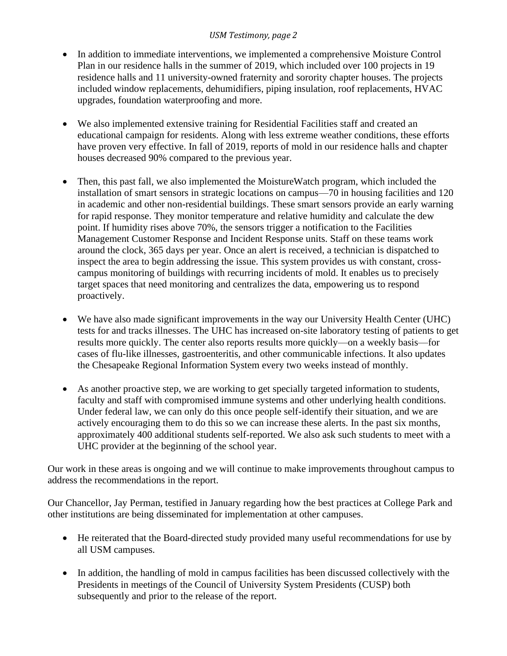## *USM Testimony, page 2*

- In addition to immediate interventions, we implemented a comprehensive Moisture Control Plan in our residence halls in the summer of 2019, which included over 100 projects in 19 residence halls and 11 university-owned fraternity and sorority chapter houses. The projects included window replacements, dehumidifiers, piping insulation, roof replacements, HVAC upgrades, foundation waterproofing and more.
- We also implemented extensive training for Residential Facilities staff and created an educational campaign for residents. Along with less extreme weather conditions, these efforts have proven very effective. In fall of 2019, reports of mold in our residence halls and chapter houses decreased 90% compared to the previous year.
- Then, this past fall, we also implemented the MoistureWatch program, which included the installation of smart sensors in strategic locations on campus—70 in housing facilities and 120 in academic and other non-residential buildings. These smart sensors provide an early warning for rapid response. They monitor temperature and relative humidity and calculate the dew point. If humidity rises above 70%, the sensors trigger a notification to the Facilities Management Customer Response and Incident Response units. Staff on these teams work around the clock, 365 days per year. Once an alert is received, a technician is dispatched to inspect the area to begin addressing the issue. This system provides us with constant, crosscampus monitoring of buildings with recurring incidents of mold. It enables us to precisely target spaces that need monitoring and centralizes the data, empowering us to respond proactively.
- We have also made significant improvements in the way our University Health Center (UHC) tests for and tracks illnesses. The UHC has increased on-site laboratory testing of patients to get results more quickly. The center also reports results more quickly—on a weekly basis—for cases of flu-like illnesses, gastroenteritis, and other communicable infections. It also updates the Chesapeake Regional Information System every two weeks instead of monthly.
- As another proactive step, we are working to get specially targeted information to students, faculty and staff with compromised immune systems and other underlying health conditions. Under federal law, we can only do this once people self-identify their situation, and we are actively encouraging them to do this so we can increase these alerts. In the past six months, approximately 400 additional students self-reported. We also ask such students to meet with a UHC provider at the beginning of the school year.

Our work in these areas is ongoing and we will continue to make improvements throughout campus to address the recommendations in the report.

Our Chancellor, Jay Perman, testified in January regarding how the best practices at College Park and other institutions are being disseminated for implementation at other campuses.

- He reiterated that the Board-directed study provided many useful recommendations for use by all USM campuses.
- In addition, the handling of mold in campus facilities has been discussed collectively with the Presidents in meetings of the Council of University System Presidents (CUSP) both subsequently and prior to the release of the report.